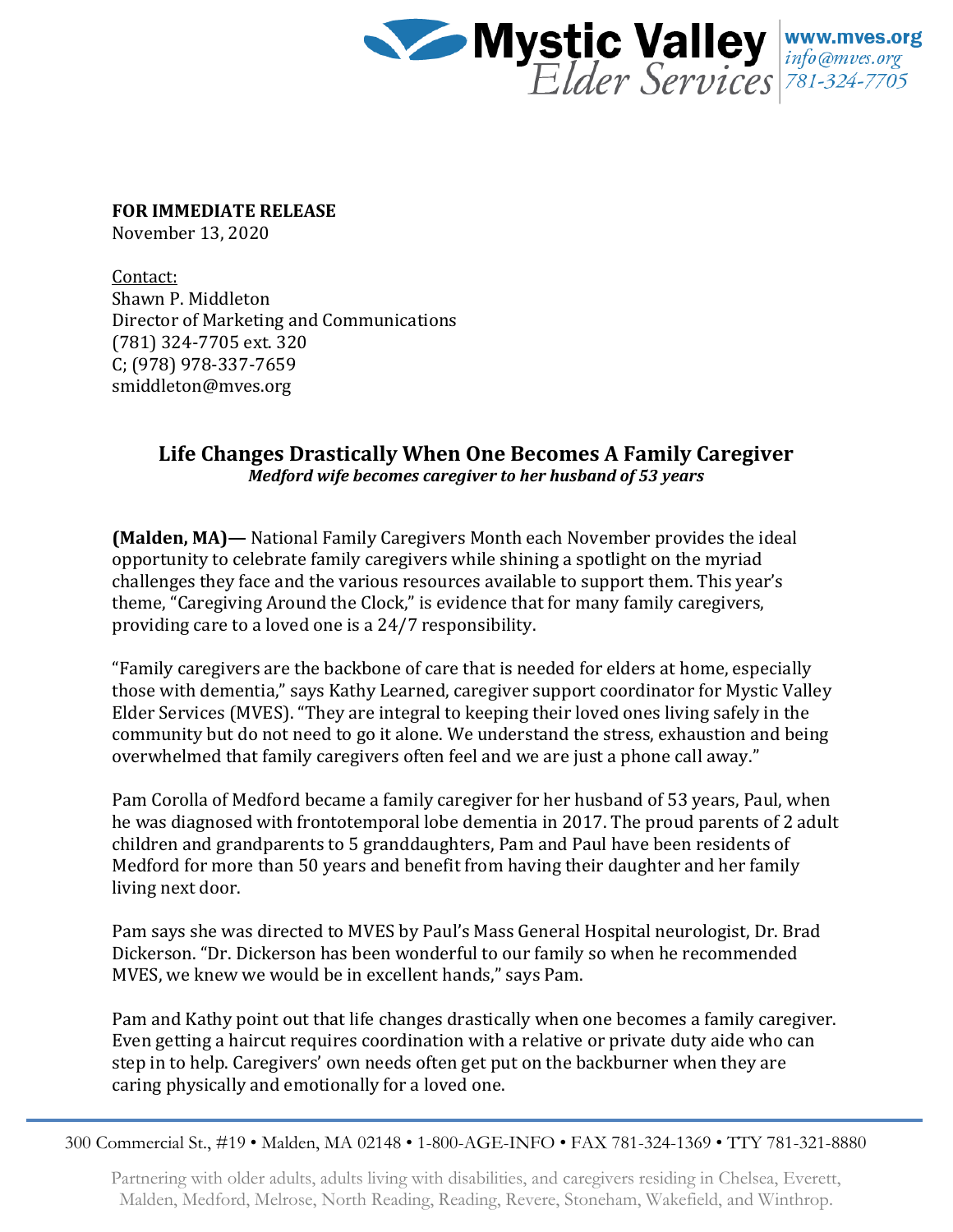

**FOR IMMEDIATE RELEASE**

November 13, 2020

Contact: Shawn P. Middleton Director of Marketing and Communications (781) 324-7705 ext. 320 C; (978) 978-337-7659 smiddleton@mves.org

## **Life Changes Drastically When One Becomes A Family Caregiver** *Medford wife becomes caregiver to her husband of 53 years*

**(Malden, MA)—** National Family Caregivers Month each November provides the ideal opportunity to celebrate family caregivers while shining a spotlight on the myriad challenges they face and the various resources available to support them. This year's theme, "Caregiving Around the Clock," is evidence that for many family caregivers, providing care to a loved one is a 24/7 responsibility.

"Family caregivers are the backbone of care that is needed for elders at home, especially those with dementia," says Kathy Learned, caregiver support coordinator for Mystic Valley Elder Services (MVES). "They are integral to keeping their loved ones living safely in the community but do not need to go it alone. We understand the stress, exhaustion and being overwhelmed that family caregivers often feel and we are just a phone call away."

Pam Corolla of Medford became a family caregiver for her husband of 53 years, Paul, when he was diagnosed with frontotemporal lobe dementia in 2017. The proud parents of 2 adult children and grandparents to 5 granddaughters, Pam and Paul have been residents of Medford for more than 50 years and benefit from having their daughter and her family living next door.

Pam says she was directed to MVES by Paul's Mass General Hospital neurologist, Dr. Brad Dickerson. "Dr. Dickerson has been wonderful to our family so when he recommended MVES, we knew we would be in excellent hands," says Pam.

Pam and Kathy point out that life changes drastically when one becomes a family caregiver. Even getting a haircut requires coordination with a relative or private duty aide who can step in to help. Caregivers' own needs often get put on the backburner when they are caring physically and emotionally for a loved one.

300 Commercial St., #19 • Malden, MA 02148 • 1-800-AGE-INFO • FAX 781-324-1369 • TTY 781-321-8880

Partnering with older adults, adults living with disabilities, and caregivers residing in Chelsea, Everett, Malden, Medford, Melrose, North Reading, Reading, Revere, Stoneham, Wakefield, and Winthrop.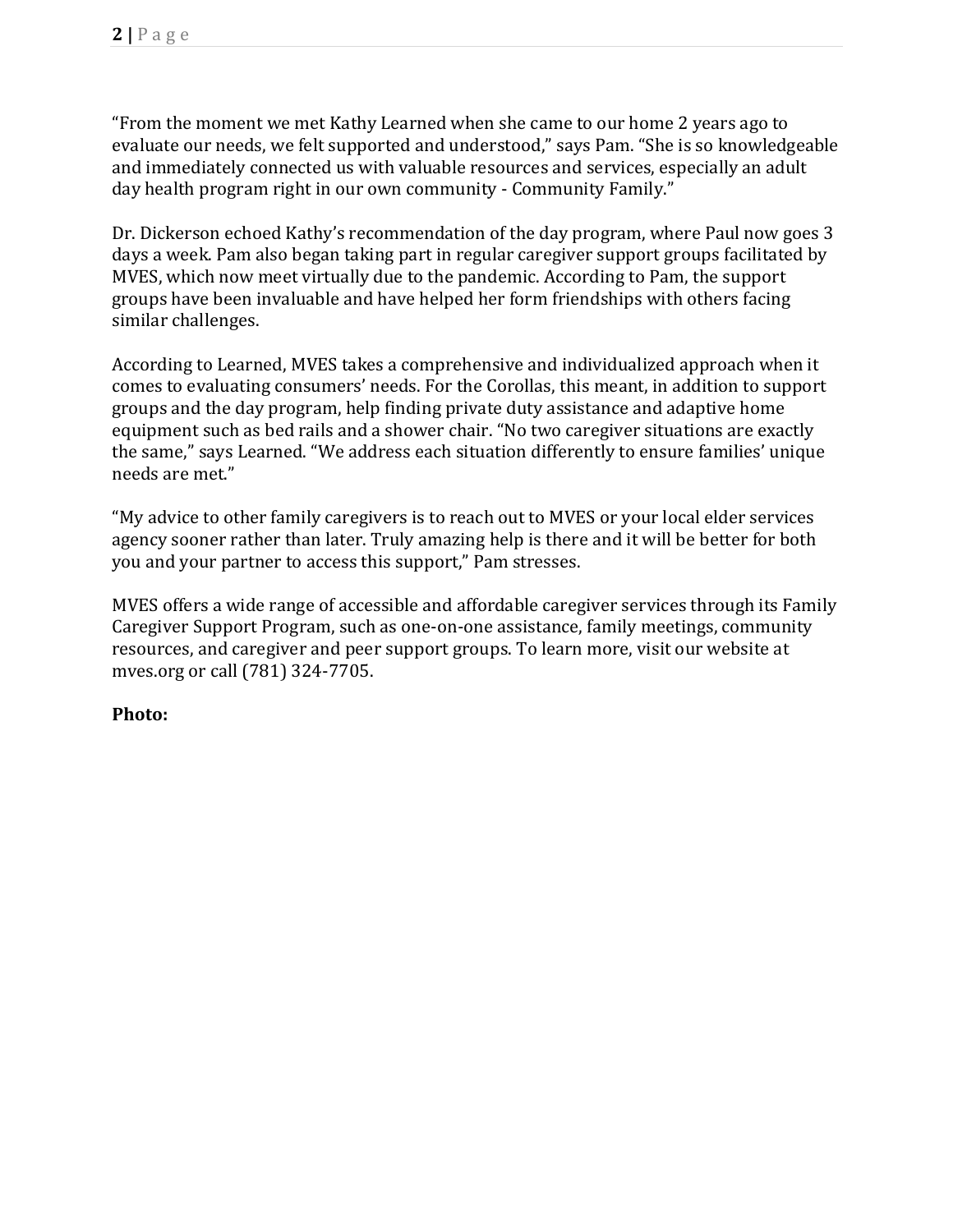"From the moment we met Kathy Learned when she came to our home 2 years ago to evaluate our needs, we felt supported and understood," says Pam. "She is so knowledgeable and immediately connected us with valuable resources and services, especially an adult day health program right in our own community - Community Family."

Dr. Dickerson echoed Kathy's recommendation of the day program, where Paul now goes 3 days a week. Pam also began taking part in regular caregiver support groups facilitated by MVES, which now meet virtually due to the pandemic. According to Pam, the support groups have been invaluable and have helped her form friendships with others facing similar challenges.

According to Learned, MVES takes a comprehensive and individualized approach when it comes to evaluating consumers' needs. For the Corollas, this meant, in addition to support groups and the day program, help finding private duty assistance and adaptive home equipment such as bed rails and a shower chair. "No two caregiver situations are exactly the same," says Learned. "We address each situation differently to ensure families' unique needs are met."

"My advice to other family caregivers is to reach out to MVES or your local elder services agency sooner rather than later. Truly amazing help is there and it will be better for both you and your partner to access this support," Pam stresses.

MVES offers a wide range of accessible and affordable caregiver services through its Family Caregiver Support Program, such as one-on-one assistance, family meetings, community resources, and caregiver and peer support groups. To learn more, visit our website at mves.org or call (781) 324-7705.

## **Photo:**